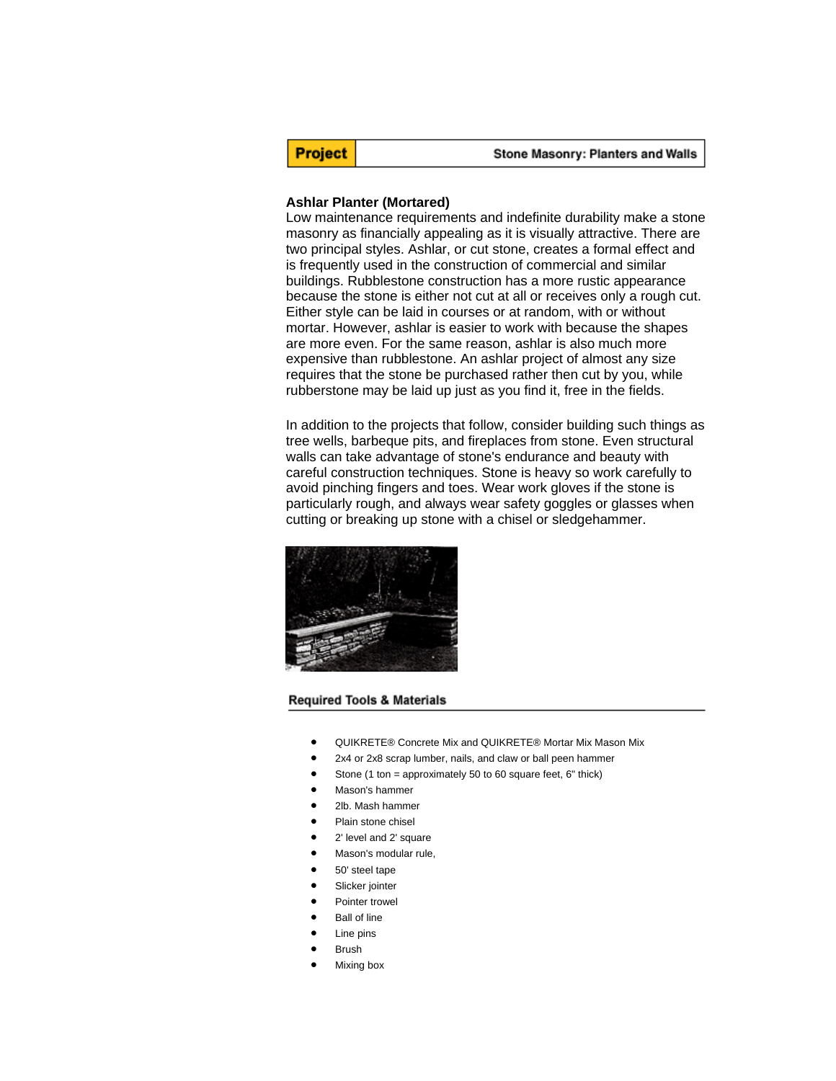**Project** 

#### Stone Masonry: Planters and Walls

#### **Ashlar Planter (Mortared)**

Low maintenance requirements and indefinite durability make a stone masonry as financially appealing as it is visually attractive. There are two principal styles. Ashlar, or cut stone, creates a formal effect and is frequently used in the construction of commercial and similar buildings. Rubblestone construction has a more rustic appearance because the stone is either not cut at all or receives only a rough cut. Either style can be laid in courses or at random, with or without mortar. However, ashlar is easier to work with because the shapes are more even. For the same reason, ashlar is also much more expensive than rubblestone. An ashlar project of almost any size requires that the stone be purchased rather then cut by you, while rubberstone may be laid up just as you find it, free in the fields.

In addition to the projects that follow, consider building such things as tree wells, barbeque pits, and fireplaces from stone. Even structural walls can take advantage of stone's endurance and beauty with careful construction techniques. Stone is heavy so work carefully to avoid pinching fingers and toes. Wear work gloves if the stone is particularly rough, and always wear safety goggles or glasses when cutting or breaking up stone with a chisel or sledgehammer.



#### **Required Tools & Materials**

- QUIKRETE® Concrete Mix and QUIKRETE® Mortar Mix Mason Mix
- 2x4 or 2x8 scrap lumber, nails, and claw or ball peen hammer
- Stone (1 ton = approximately 50 to 60 square feet, 6" thick)
- Mason's hammer
- 2lb. Mash hammer
- Plain stone chisel
- 2' level and 2' square
- Mason's modular rule,
- 50' steel tape
- Slicker jointer
- Pointer trowel
- **Ball of line**
- Line pins
- Brush
- Mixing box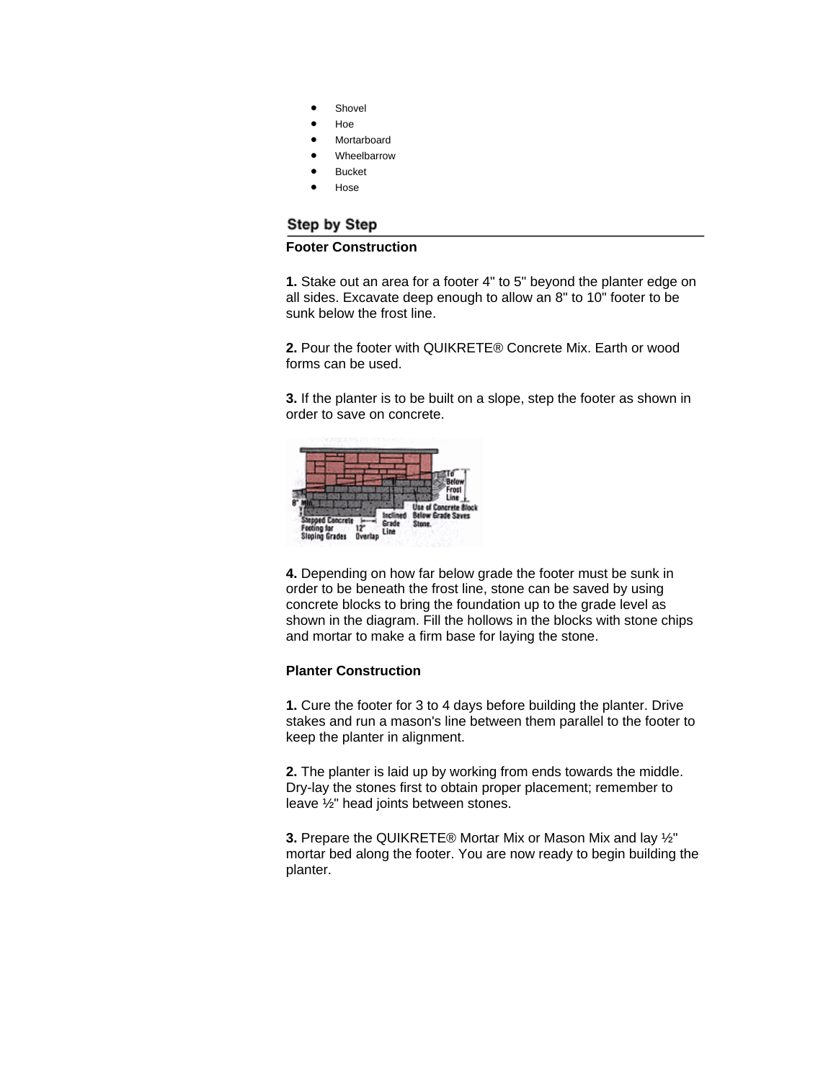- **Shovel**
- Hoe
- **Mortarboard** 
	- Wheelbarrow
- Bucket
- Hose

# Step by Step

# **Footer Construction**

**1.** Stake out an area for a footer 4" to 5" beyond the planter edge on all sides. Excavate deep enough to allow an 8" to 10" footer to be sunk below the frost line.

**2.** Pour the footer with QUIKRETE® Concrete Mix. Earth or wood forms can be used.

**3.** If the planter is to be built on a slope, step the footer as shown in order to save on concrete.



**4.** Depending on how far below grade the footer must be sunk in order to be beneath the frost line, stone can be saved by using concrete blocks to bring the foundation up to the grade level as shown in the diagram. Fill the hollows in the blocks with stone chips and mortar to make a firm base for laying the stone.

## **Planter Construction**

**1.** Cure the footer for 3 to 4 days before building the planter. Drive stakes and run a mason's line between them parallel to the footer to keep the planter in alignment.

**2.** The planter is laid up by working from ends towards the middle. Dry-lay the stones first to obtain proper placement; remember to leave ½" head joints between stones.

**3.** Prepare the QUIKRETE® Mortar Mix or Mason Mix and lay ½" mortar bed along the footer. You are now ready to begin building the planter.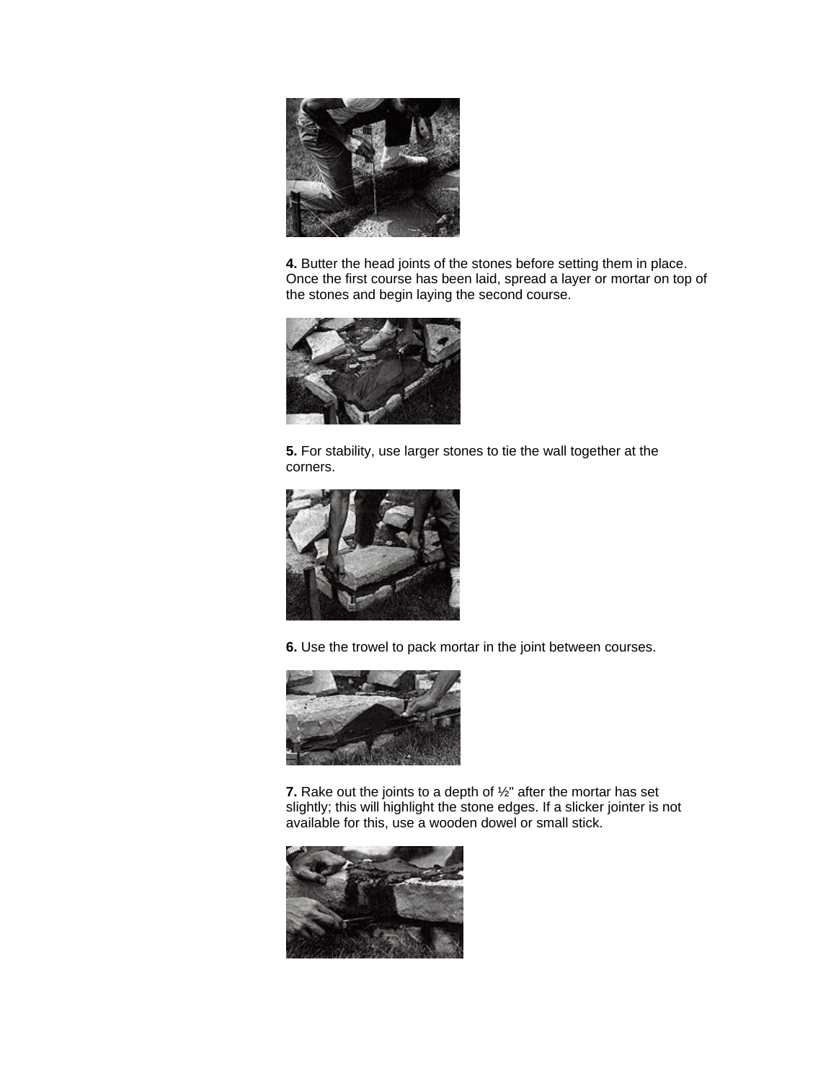

**4.** Butter the head joints of the stones before setting them in place. Once the first course has been laid, spread a layer or mortar on top of the stones and begin laying the second course.



**5.** For stability, use larger stones to tie the wall together at the corners.



**6.** Use the trowel to pack mortar in the joint between courses.



**7.** Rake out the joints to a depth of ½" after the mortar has set slightly; this will highlight the stone edges. If a slicker jointer is not available for this, use a wooden dowel or small stick.

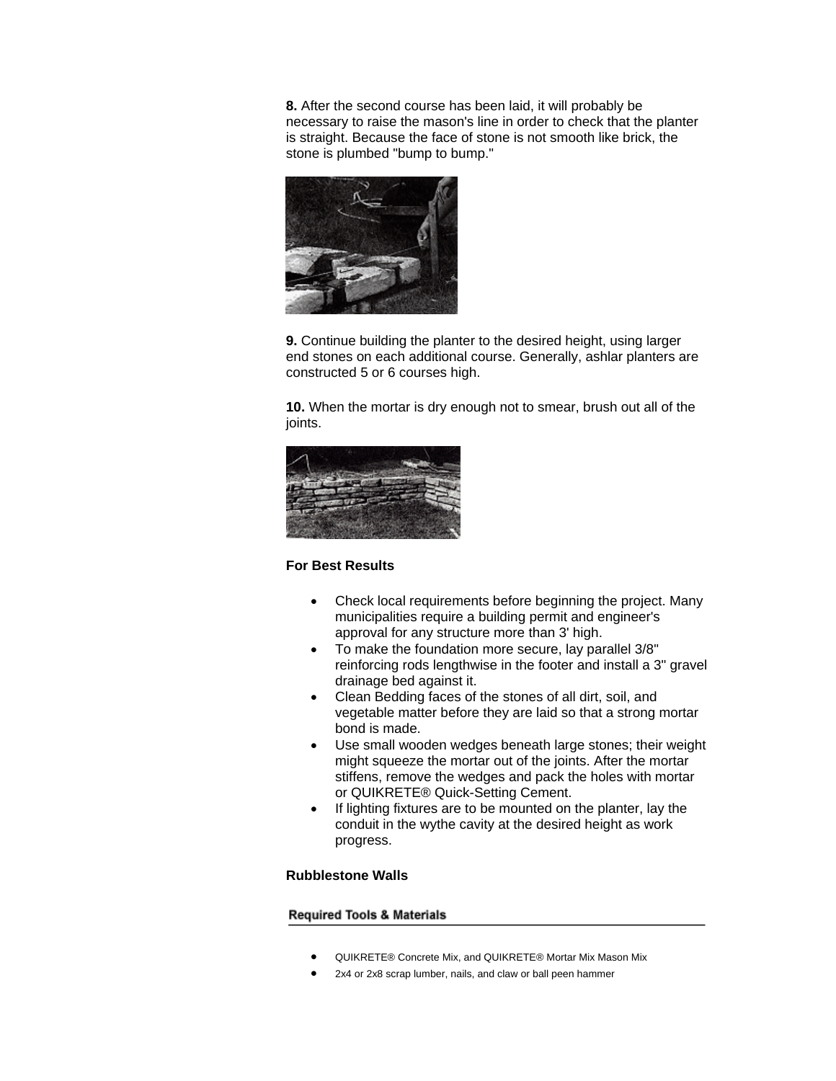**8.** After the second course has been laid, it will probably be necessary to raise the mason's line in order to check that the planter is straight. Because the face of stone is not smooth like brick, the stone is plumbed "bump to bump."



**9.** Continue building the planter to the desired height, using larger end stones on each additional course. Generally, ashlar planters are constructed 5 or 6 courses high.

**10.** When the mortar is dry enough not to smear, brush out all of the joints.



## **For Best Results**

- Check local requirements before beginning the project. Many municipalities require a building permit and engineer's approval for any structure more than 3' high.
- To make the foundation more secure, lay parallel 3/8" reinforcing rods lengthwise in the footer and install a 3" gravel drainage bed against it.
- Clean Bedding faces of the stones of all dirt, soil, and vegetable matter before they are laid so that a strong mortar bond is made.
- Use small wooden wedges beneath large stones; their weight might squeeze the mortar out of the joints. After the mortar stiffens, remove the wedges and pack the holes with mortar or QUIKRETE® Quick-Setting Cement.
- If lighting fixtures are to be mounted on the planter, lay the conduit in the wythe cavity at the desired height as work progress.

## **Rubblestone Walls**

#### **Required Tools & Materials**

- QUIKRETE® Concrete Mix, and QUIKRETE® Mortar Mix Mason Mix
- 2x4 or 2x8 scrap lumber, nails, and claw or ball peen hammer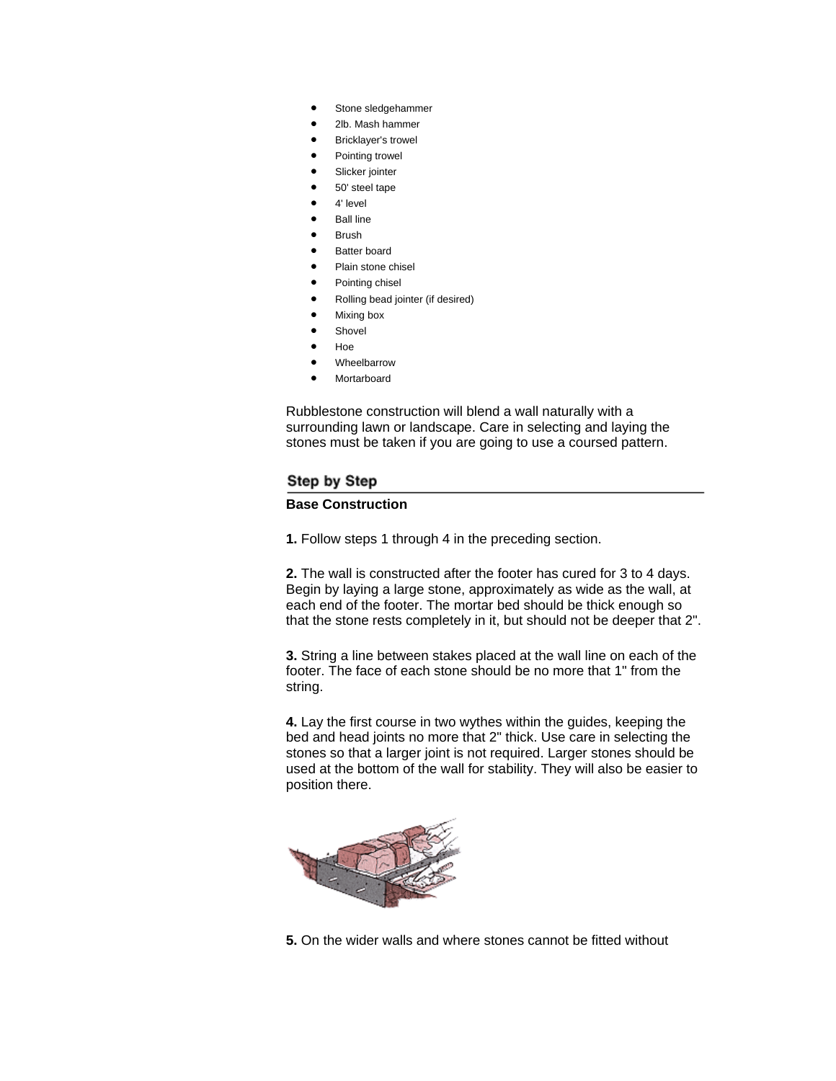- Stone sledgehammer
- 2lb. Mash hammer
- Bricklayer's trowel
- Pointing trowel
- Slicker jointer
- 50' steel tape
- 4' level
- **Ball line**
- **Brush**
- Batter board
- Plain stone chisel
- Pointing chisel
- Rolling bead jointer (if desired)
- Mixing box
- **Shovel**
- Hoe
- **Wheelbarrow**
- **Mortarboard**

Rubblestone construction will blend a wall naturally with a surrounding lawn or landscape. Care in selecting and laying the stones must be taken if you are going to use a coursed pattern.

## Step by Step

# **Base Construction**

**1.** Follow steps 1 through 4 in the preceding section.

**2.** The wall is constructed after the footer has cured for 3 to 4 days. Begin by laying a large stone, approximately as wide as the wall, at each end of the footer. The mortar bed should be thick enough so that the stone rests completely in it, but should not be deeper that 2".

**3.** String a line between stakes placed at the wall line on each of the footer. The face of each stone should be no more that 1" from the string.

**4.** Lay the first course in two wythes within the guides, keeping the bed and head joints no more that 2" thick. Use care in selecting the stones so that a larger joint is not required. Larger stones should be used at the bottom of the wall for stability. They will also be easier to position there.



**5.** On the wider walls and where stones cannot be fitted without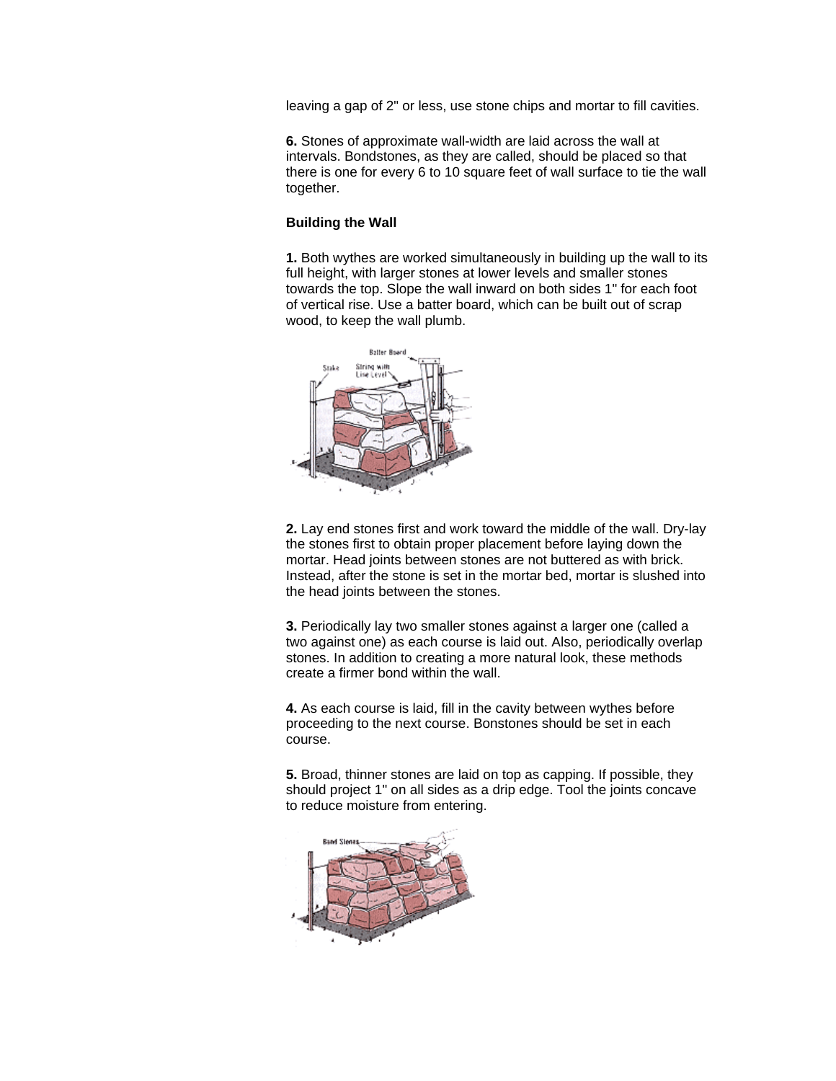leaving a gap of 2" or less, use stone chips and mortar to fill cavities.

**6.** Stones of approximate wall-width are laid across the wall at intervals. Bondstones, as they are called, should be placed so that there is one for every 6 to 10 square feet of wall surface to tie the wall together.

## **Building the Wall**

**1.** Both wythes are worked simultaneously in building up the wall to its full height, with larger stones at lower levels and smaller stones towards the top. Slope the wall inward on both sides 1" for each foot of vertical rise. Use a batter board, which can be built out of scrap wood, to keep the wall plumb.



**2.** Lay end stones first and work toward the middle of the wall. Dry-lay the stones first to obtain proper placement before laying down the mortar. Head joints between stones are not buttered as with brick. Instead, after the stone is set in the mortar bed, mortar is slushed into the head joints between the stones.

**3.** Periodically lay two smaller stones against a larger one (called a two against one) as each course is laid out. Also, periodically overlap stones. In addition to creating a more natural look, these methods create a firmer bond within the wall.

**4.** As each course is laid, fill in the cavity between wythes before proceeding to the next course. Bonstones should be set in each course.

**5.** Broad, thinner stones are laid on top as capping. If possible, they should project 1" on all sides as a drip edge. Tool the joints concave to reduce moisture from entering.

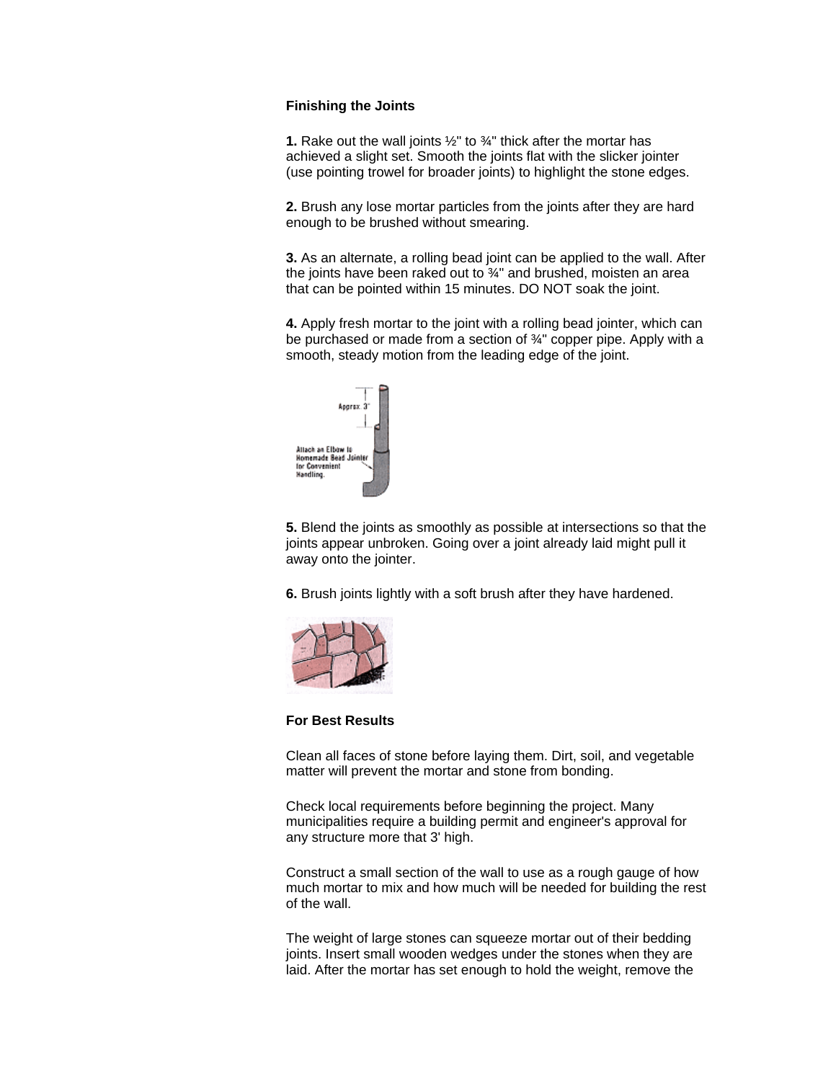## **Finishing the Joints**

**1.** Rake out the wall joints ½" to ¾" thick after the mortar has achieved a slight set. Smooth the joints flat with the slicker jointer (use pointing trowel for broader joints) to highlight the stone edges.

**2.** Brush any lose mortar particles from the joints after they are hard enough to be brushed without smearing.

**3.** As an alternate, a rolling bead joint can be applied to the wall. After the joints have been raked out to ¾" and brushed, moisten an area that can be pointed within 15 minutes. DO NOT soak the joint.

**4.** Apply fresh mortar to the joint with a rolling bead jointer, which can be purchased or made from a section of 34" copper pipe. Apply with a smooth, steady motion from the leading edge of the joint.



**5.** Blend the joints as smoothly as possible at intersections so that the joints appear unbroken. Going over a joint already laid might pull it away onto the jointer.

**6.** Brush joints lightly with a soft brush after they have hardened.



#### **For Best Results**

Clean all faces of stone before laying them. Dirt, soil, and vegetable matter will prevent the mortar and stone from bonding.

Check local requirements before beginning the project. Many municipalities require a building permit and engineer's approval for any structure more that 3' high.

Construct a small section of the wall to use as a rough gauge of how much mortar to mix and how much will be needed for building the rest of the wall.

The weight of large stones can squeeze mortar out of their bedding joints. Insert small wooden wedges under the stones when they are laid. After the mortar has set enough to hold the weight, remove the